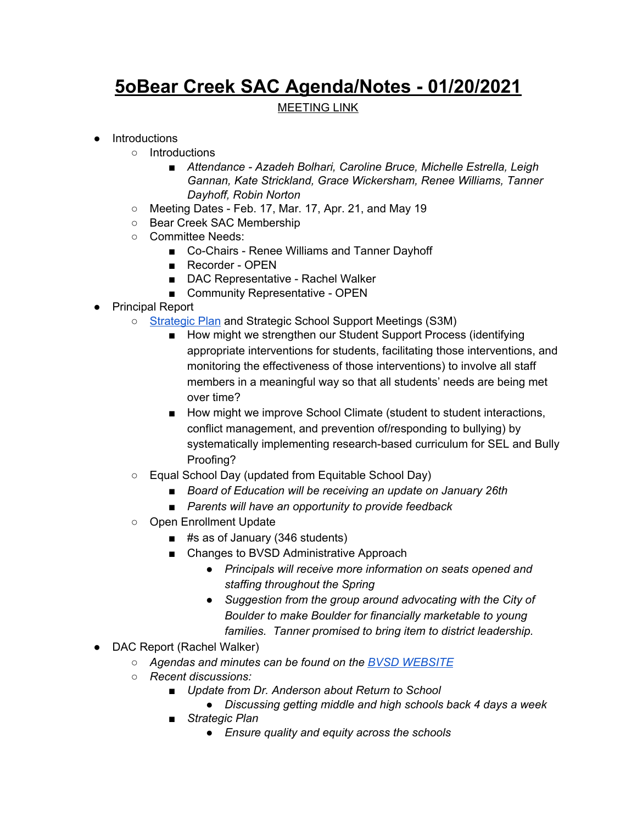## **5oBear Creek SAC Agenda/Notes - 01/20/2021**

## MEETING LINK

## ● Introductions

- Introductions
	- *■ Attendance - Azadeh Bolhari, Caroline Bruce, Michelle Estrella, Leigh Gannan, Kate Strickland, Grace Wickersham, Renee Williams, Tanner Dayhoff, Robin Norton*
- Meeting Dates Feb. 17, Mar. 17, Apr. 21, and May 19
- Bear Creek SAC Membership
- Committee Needs:
	- Co-Chairs Renee Williams and Tanner Dayhoff
	- Recorder OPEN
	- DAC Representative Rachel Walker
	- Community Representative OPEN
- Principal Report
	- [Strategic](https://www.bvsd.org/about/strategic-plan) Plan and Strategic School Support Meetings (S3M)
		- How might we strengthen our Student Support Process (identifying appropriate interventions for students, facilitating those interventions, and monitoring the effectiveness of those interventions) to involve all staff members in a meaningful way so that all students' needs are being met over time?
		- How might we improve School Climate (student to student interactions, conflict management, and prevention of/responding to bullying) by systematically implementing research-based curriculum for SEL and Bully Proofing?
	- Equal School Day (updated from Equitable School Day)
		- *■ Board of Education will be receiving an update on January 26th*
		- *■ Parents will have an opportunity to provide feedback*
	- *○* Open Enrollment Update
		- #s as of January (346 students)
		- Changes to BVSD Administrative Approach
			- *● Principals will receive more information on seats opened and staffing throughout the Spring*
			- *● Suggestion from the group around advocating with the City of Boulder to make Boulder for financially marketable to young families. Tanner promised to bring item to district leadership.*
- *●* DAC Report (Rachel Walker)
	- *○ Agendas and minutes can be found on the BVSD [WEBSITE](https://www.bvsd.org/about/district-accountability-committee)*
	- *○ Recent discussions:*
		- *■ Update from Dr. Anderson about Return to School*
			- *● Discussing getting middle and high schools back 4 days a week*
		- *■ Strategic Plan*
			- *● Ensure quality and equity across the schools*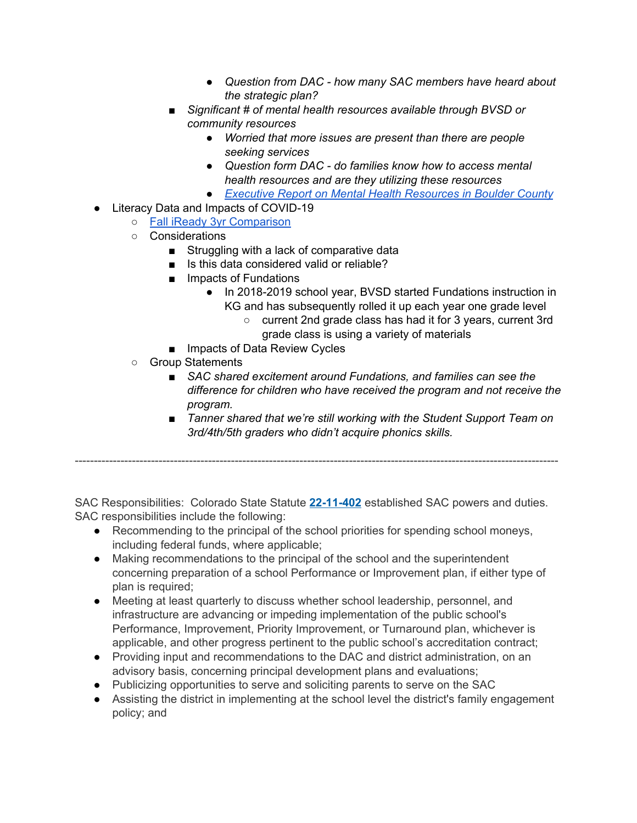- *● Question from DAC - how many SAC members have heard about the strategic plan?*
- *■ Significant # of mental health resources available through BVSD or community resources*
	- *● Worried that more issues are present than there are people seeking services*
	- *● Question form DAC - do families know how to access mental health resources and are they utilizing these resources*
	- *● Executive Report on Mental Health [Resources](https://drive.google.com/file/d/1U67tzbyLA8INw9Ve4MjZQzPZMHZCsacD/view?usp=sharing) in Boulder County*
- Literacy Data and Impacts of COVID-19
	- Fall iReady 3yr [Comparison](https://drive.google.com/file/d/144zr-YtHzlEsJyPxirxrQglLKhXYXdHu/view?usp=sharing)
	- Considerations
		- Struggling with a lack of comparative data
		- Is this data considered valid or reliable?
		- Impacts of Fundations
			- In 2018-2019 school year, BVSD started Fundations instruction in KG and has subsequently rolled it up each year one grade level
				- current 2nd grade class has had it for 3 years, current 3rd grade class is using a variety of materials
		- Impacts of Data Review Cycles
	- Group Statements
		- *■ SAC shared excitement around Fundations, and families can see the difference for children who have received the program and not receive the program.*
		- *■ Tanner shared that we're still working with the Student Support Team on 3rd/4th/5th graders who didn't acquire phonics skills.*

-------------------------------------------------------------------------------------------------------------------------------

SAC Responsibilities: Colorado State Statute **[22-11-402](http://www.lpdirect.net/casb/crs/22-11-402.html)** established SAC powers and duties. SAC responsibilities include the following:

- Recommending to the principal of the school priorities for spending school moneys, including federal funds, where applicable;
- Making recommendations to the principal of the school and the superintendent concerning preparation of a school Performance or Improvement plan, if either type of plan is required;
- Meeting at least quarterly to discuss whether school leadership, personnel, and infrastructure are advancing or impeding implementation of the public school's Performance, Improvement, Priority Improvement, or Turnaround plan, whichever is applicable, and other progress pertinent to the public school's accreditation contract;
- Providing input and recommendations to the DAC and district administration, on an advisory basis, concerning principal development plans and evaluations;
- Publicizing opportunities to serve and soliciting parents to serve on the SAC
- Assisting the district in implementing at the school level the district's family engagement policy; and